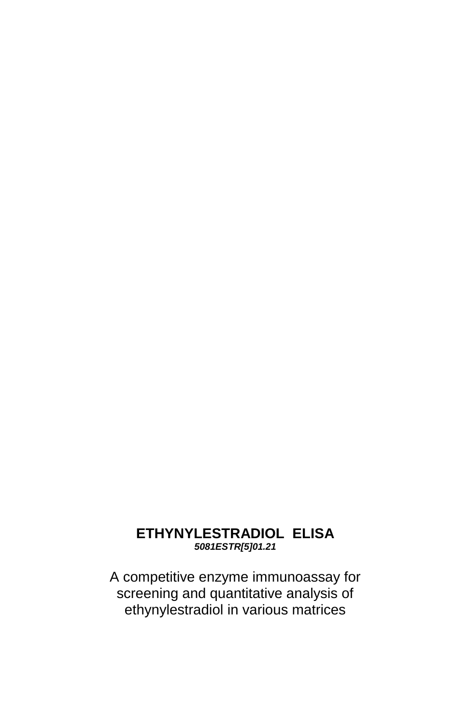# **ETHYNYLESTRADIOL ELISA** *5081ESTR[5]01.21*

A competitive enzyme immunoassay for screening and quantitative analysis of ethynylestradiol in various matrices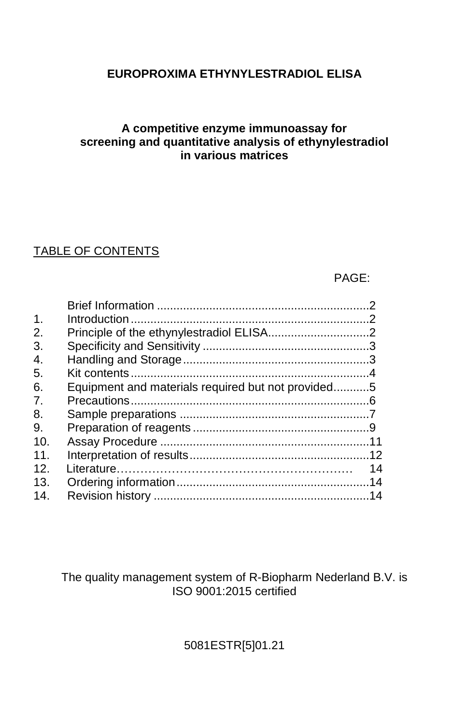# **EUROPROXIMA ETHYNYLESTRADIOL ELISA**

## **A competitive enzyme immunoassay for screening and quantitative analysis of ethynylestradiol in various matrices**

# TABLE OF CONTENTS

## PAGE:

| $\mathbf{1}$ .                                           |    |
|----------------------------------------------------------|----|
| 2.                                                       |    |
| 3.                                                       |    |
| 4.                                                       |    |
| 5.                                                       |    |
| Equipment and materials required but not provided5<br>6. |    |
| 7.                                                       |    |
| 8.                                                       |    |
| 9.                                                       |    |
| 10.                                                      |    |
| 11                                                       |    |
| 12.                                                      | 14 |
| 13.                                                      |    |
| 14.                                                      |    |

The quality management system of R-Biopharm Nederland B.V. is ISO 9001:2015 certified

5081ESTR[5]01.21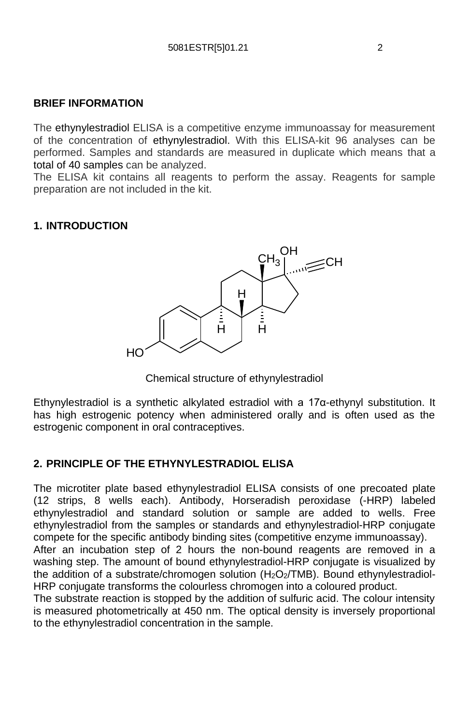### **BRIEF INFORMATION**

The ethynylestradiol ELISA is a competitive enzyme immunoassay for measurement of the concentration of ethynylestradiol. With this ELISA-kit 96 analyses can be performed. Samples and standards are measured in duplicate which means that a total of 40 samples can be analyzed.

The ELISA kit contains all reagents to perform the assay. Reagents for sample preparation are not included in the kit.

### **1. INTRODUCTION**



Chemical structure of ethynylestradiol

Ethynylestradiol is a synthetic alkylated estradiol with a 17α-ethynyl substitution. It has high estrogenic potency when administered orally and is often used as the estrogenic component in oral contraceptives.

### **2. PRINCIPLE OF THE ETHYNYLESTRADIOL ELISA**

The microtiter plate based ethynylestradiol ELISA consists of one precoated plate (12 strips, 8 wells each). Antibody, Horseradish peroxidase (-HRP) labeled ethynylestradiol and standard solution or sample are added to wells. Free ethynylestradiol from the samples or standards and ethynylestradiol-HRP conjugate compete for the specific antibody binding sites (competitive enzyme immunoassay).

After an incubation step of 2 hours the non-bound reagents are removed in a washing step. The amount of bound ethynylestradiol-HRP conjugate is visualized by the addition of a substrate/chromogen solution (H<sub>2</sub>O<sub>2</sub>/TMB). Bound ethynylestradiol-HRP conjugate transforms the colourless chromogen into a coloured product.

The substrate reaction is stopped by the addition of sulfuric acid. The colour intensity is measured photometrically at 450 nm. The optical density is inversely proportional to the ethynylestradiol concentration in the sample.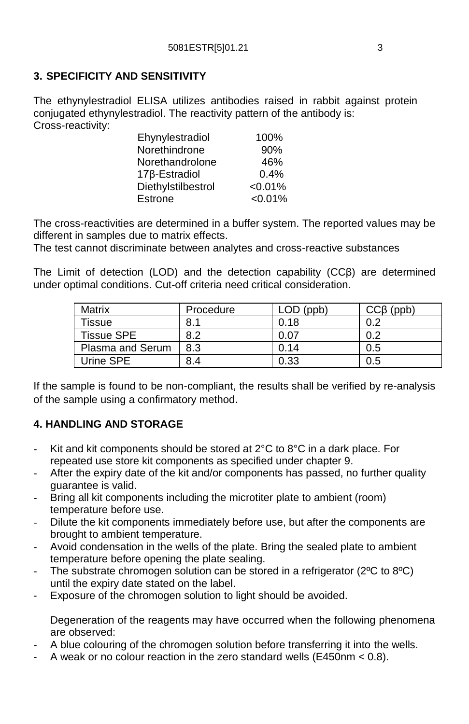## **3. SPECIFICITY AND SENSITIVITY**

The ethynylestradiol ELISA utilizes antibodies raised in rabbit against protein conjugated ethynylestradiol. The reactivity pattern of the antibody is: Cross-reactivity:

| Ehynylestradiol            | 100%       |
|----------------------------|------------|
| Norethindrone              | 90%        |
| Norethandrolone            | 46%        |
| 17 <sub>B</sub> -Estradiol | 0.4%       |
| Diethylstilbestrol         | $< 0.01\%$ |
| Estrone                    | $< 0.01\%$ |

The cross-reactivities are determined in a buffer system. The reported values may be different in samples due to matrix effects.

The test cannot discriminate between analytes and cross-reactive substances

The Limit of detection (LOD) and the detection capability (CCβ) are determined under optimal conditions. Cut-off criteria need critical consideration.

| Matrix            | Procedure | LOD (ppb) | $CC\beta$ (ppb) |
|-------------------|-----------|-----------|-----------------|
| Tissue            | 8.1       | 0.18      | 0.2             |
| <b>Tissue SPE</b> | 8.2       | 0.07      | 0.2             |
| Plasma and Serum  | 8.3       | 0.14      | 0.5             |
| Urine SPE         | 8.4       | 0.33      | 0.5             |

If the sample is found to be non-compliant, the results shall be verified by re-analysis of the sample using a confirmatory method.

## **4. HANDLING AND STORAGE**

- Kit and kit components should be stored at 2°C to 8°C in a dark place. For repeated use store kit components as specified under chapter 9.
- After the expiry date of the kit and/or components has passed, no further quality guarantee is valid.
- Bring all kit components including the microtiter plate to ambient (room) temperature before use.
- Dilute the kit components immediately before use, but after the components are brought to ambient temperature.
- Avoid condensation in the wells of the plate. Bring the sealed plate to ambient temperature before opening the plate sealing.
- The substrate chromogen solution can be stored in a refrigerator (2°C to 8°C) until the expiry date stated on the label.
- Exposure of the chromogen solution to light should be avoided.

Degeneration of the reagents may have occurred when the following phenomena are observed:

- A blue colouring of the chromogen solution before transferring it into the wells.
- A weak or no colour reaction in the zero standard wells (E450nm < 0.8).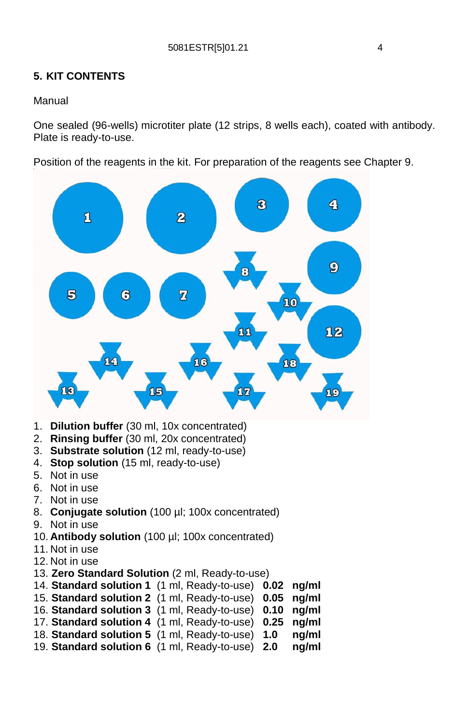## **5. KIT CONTENTS**

### Manual

One sealed (96-wells) microtiter plate (12 strips, 8 wells each), coated with antibody. Plate is ready-to-use.

Position of the reagents in the kit. For preparation of the reagents see Chapter 9.



- 1. **Dilution buffer** (30 ml, 10x concentrated)
- 2. **Rinsing buffer** (30 ml, 20x concentrated)
- 3. **Substrate solution** (12 ml, ready-to-use)
- 4. **Stop solution** (15 ml, ready-to-use)
- 5. Not in use
- 6. Not in use
- 7. Not in use
- 8. **Conjugate solution** (100 µl; 100x concentrated)
- 9. Not in use
- 10. **Antibody solution** (100 µl; 100x concentrated)
- 11. Not in use
- 12. Not in use
- 13. **Zero Standard Solution** (2 ml, Ready-to-use)
- 14. **Standard solution 1** (1 ml, Ready-to-use) **0.02 ng/ml**
- 15. **Standard solution 2** (1 ml, Ready-to-use) **0.05 ng/ml**
- 16. **Standard solution 3** (1 ml, Ready-to-use) **0.10 ng/ml**
- 17. **Standard solution 4** (1 ml, Ready-to-use) **0.25 ng/ml**
- 18. **Standard solution 5** (1 ml, Ready-to-use) **1.0 ng/ml**
- 19. **Standard solution 6** (1 ml, Ready-to-use) **2.0 ng/ml**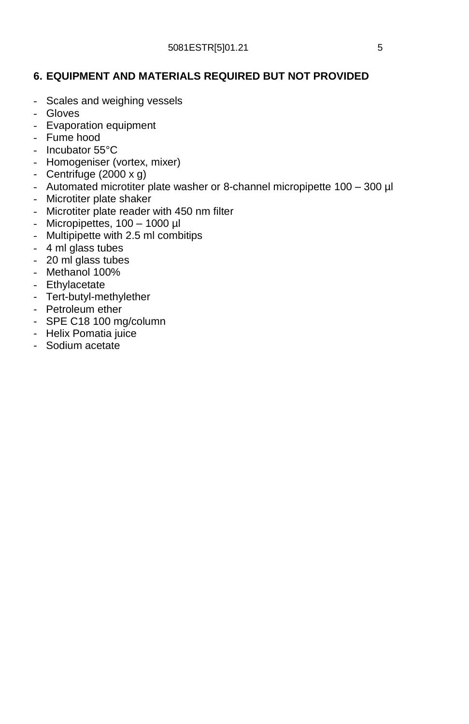## **6. EQUIPMENT AND MATERIALS REQUIRED BUT NOT PROVIDED**

- Scales and weighing vessels
- Gloves
- Evaporation equipment
- Fume hood
- Incubator 55°C
- Homogeniser (vortex, mixer)
- Centrifuge (2000 x g)
- Automated microtiter plate washer or 8-channel micropipette 100 300 µl
- Microtiter plate shaker
- Microtiter plate reader with 450 nm filter
- Micropipettes, 100 1000 µl
- Multipipette with 2.5 ml combitips
- 4 ml glass tubes
- 20 ml glass tubes
- Methanol 100%
- Ethylacetate
- Tert-butyl-methylether
- Petroleum ether
- SPE C18 100 mg/column
- Helix Pomatia juice
- Sodium acetate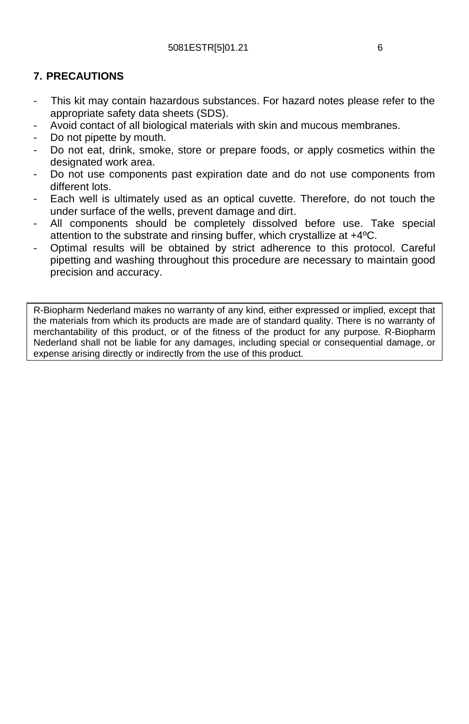## **7. PRECAUTIONS**

- This kit may contain hazardous substances. For hazard notes please refer to the appropriate safety data sheets (SDS).
- Avoid contact of all biological materials with skin and mucous membranes.
- Do not pipette by mouth.
- Do not eat, drink, smoke, store or prepare foods, or apply cosmetics within the designated work area.
- Do not use components past expiration date and do not use components from different lots.
- Each well is ultimately used as an optical cuvette. Therefore, do not touch the under surface of the wells, prevent damage and dirt.
- All components should be completely dissolved before use. Take special attention to the substrate and rinsing buffer, which crystallize at +4ºC.
- Optimal results will be obtained by strict adherence to this protocol. Careful pipetting and washing throughout this procedure are necessary to maintain good precision and accuracy.

R-Biopharm Nederland makes no warranty of any kind, either expressed or implied, except that the materials from which its products are made are of standard quality. There is no warranty of merchantability of this product, or of the fitness of the product for any purpose. R-Biopharm Nederland shall not be liable for any damages, including special or consequential damage, or expense arising directly or indirectly from the use of this product.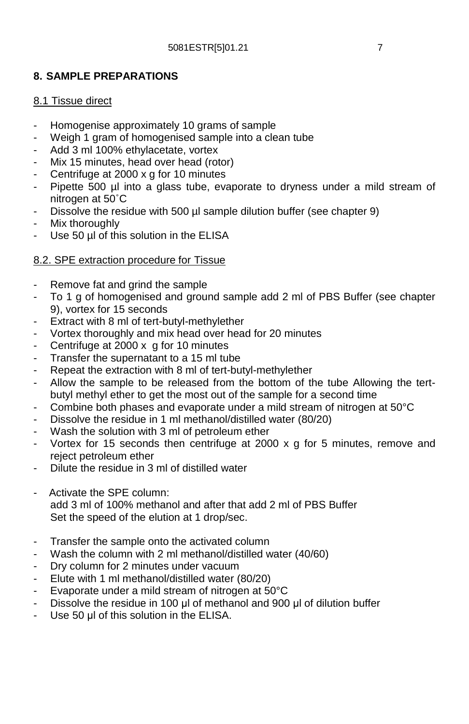## **8. SAMPLE PREPARATIONS**

### 8.1 Tissue direct

- Homogenise approximately 10 grams of sample
- Weigh 1 gram of homogenised sample into a clean tube
- Add 3 ml 100% ethylacetate, vortex
- Mix 15 minutes, head over head (rotor)
- Centrifuge at 2000 x g for 10 minutes
- Pipette 500 µl into a glass tube, evaporate to dryness under a mild stream of nitrogen at 50˚C
- Dissolve the residue with 500 µl sample dilution buffer (see chapter 9)
- Mix thoroughly
- Use 50 µl of this solution in the ELISA

## 8.2. SPE extraction procedure for Tissue

- Remove fat and grind the sample
- To 1 g of homogenised and ground sample add 2 ml of PBS Buffer (see chapter 9), vortex for 15 seconds
- Extract with 8 ml of tert-butyl-methylether
- Vortex thoroughly and mix head over head for 20 minutes
- Centrifuge at  $2000 \times g$  for 10 minutes
- Transfer the supernatant to a 15 ml tube
- Repeat the extraction with 8 ml of tert-butyl-methylether
- Allow the sample to be released from the bottom of the tube Allowing the tertbutyl methyl ether to get the most out of the sample for a second time
- Combine both phases and evaporate under a mild stream of nitrogen at 50°C
- Dissolve the residue in 1 ml methanol/distilled water (80/20)
- Wash the solution with 3 ml of petroleum ether
- Vortex for 15 seconds then centrifuge at 2000  $\times$  g for 5 minutes, remove and reject petroleum ether
- Dilute the residue in 3 ml of distilled water
- Activate the SPE column: add 3 ml of 100% methanol and after that add 2 ml of PBS Buffer Set the speed of the elution at 1 drop/sec.
- Transfer the sample onto the activated column
- Wash the column with 2 ml methanol/distilled water (40/60)
- Dry column for 2 minutes under vacuum
- Elute with 1 ml methanol/distilled water (80/20)
- Evaporate under a mild stream of nitrogen at 50°C
- Dissolve the residue in 100 μl of methanol and 900 μl of dilution buffer
- Use 50 μl of this solution in the ELISA.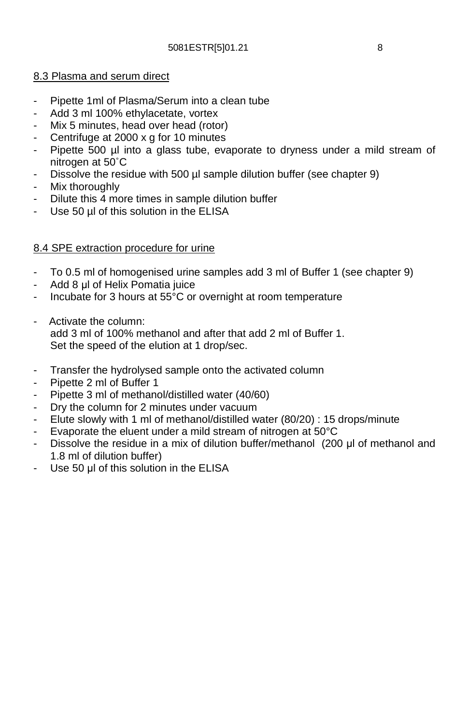### 8.3 Plasma and serum direct

- Pipette 1ml of Plasma/Serum into a clean tube
- Add 3 ml 100% ethylacetate, vortex
- Mix 5 minutes, head over head (rotor)
- Centrifuge at 2000 x g for 10 minutes
- Pipette 500 µl into a glass tube, evaporate to dryness under a mild stream of nitrogen at 50˚C
- Dissolve the residue with 500 µl sample dilution buffer (see chapter 9)
- Mix thoroughly
- Dilute this 4 more times in sample dilution buffer
- Use 50 µl of this solution in the ELISA

### 8.4 SPE extraction procedure for urine

- To 0.5 ml of homogenised urine samples add 3 ml of Buffer 1 (see chapter 9)
- Add 8 μl of Helix Pomatia juice
- Incubate for 3 hours at 55°C or overnight at room temperature
- Activate the column: add 3 ml of 100% methanol and after that add 2 ml of Buffer 1. Set the speed of the elution at 1 drop/sec.
- Transfer the hydrolysed sample onto the activated column
- Pipette 2 ml of Buffer 1
- Pipette 3 ml of methanol/distilled water (40/60)
- Dry the column for 2 minutes under vacuum
- Elute slowly with 1 ml of methanol/distilled water (80/20) : 15 drops/minute
- Evaporate the eluent under a mild stream of nitrogen at 50°C
- Dissolve the residue in a mix of dilution buffer/methanol (200 μl of methanol and 1.8 ml of dilution buffer)
- Use 50 μl of this solution in the ELISA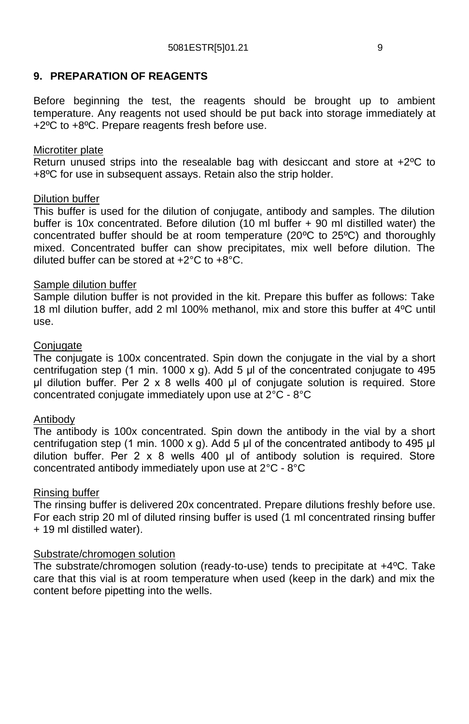### **9. PREPARATION OF REAGENTS**

Before beginning the test, the reagents should be brought up to ambient temperature. Any reagents not used should be put back into storage immediately at +2ºC to +8ºC. Prepare reagents fresh before use.

#### Microtiter plate

Return unused strips into the resealable bag with desiccant and store at  $+2^{\circ}C$  to +8ºC for use in subsequent assays. Retain also the strip holder.

#### Dilution buffer

This buffer is used for the dilution of conjugate, antibody and samples. The dilution buffer is 10x concentrated. Before dilution (10 ml buffer + 90 ml distilled water) the concentrated buffer should be at room temperature (20ºC to 25ºC) and thoroughly mixed. Concentrated buffer can show precipitates, mix well before dilution. The diluted buffer can be stored at +2°C to +8°C.

### Sample dilution buffer

Sample dilution buffer is not provided in the kit. Prepare this buffer as follows: Take 18 ml dilution buffer, add 2 ml 100% methanol, mix and store this buffer at 4ºC until use.

#### **Conjugate**

The conjugate is 100x concentrated. Spin down the conjugate in the vial by a short centrifugation step (1 min. 1000 x g). Add 5  $\mu$  of the concentrated conjugate to 495 μl dilution buffer. Per 2 x 8 wells 400 μl of conjugate solution is required. Store concentrated conjugate immediately upon use at 2°C - 8°C

### Antibody

The antibody is 100x concentrated. Spin down the antibody in the vial by a short centrifugation step (1 min. 1000 x g). Add 5 μl of the concentrated antibody to 495 μl dilution buffer. Per 2 x 8 wells 400 μl of antibody solution is required. Store concentrated antibody immediately upon use at 2°C - 8°C

#### Rinsing buffer

The rinsing buffer is delivered 20x concentrated. Prepare dilutions freshly before use. For each strip 20 ml of diluted rinsing buffer is used (1 ml concentrated rinsing buffer + 19 ml distilled water).

#### Substrate/chromogen solution

The substrate/chromogen solution (ready-to-use) tends to precipitate at +4ºC. Take care that this vial is at room temperature when used (keep in the dark) and mix the content before pipetting into the wells.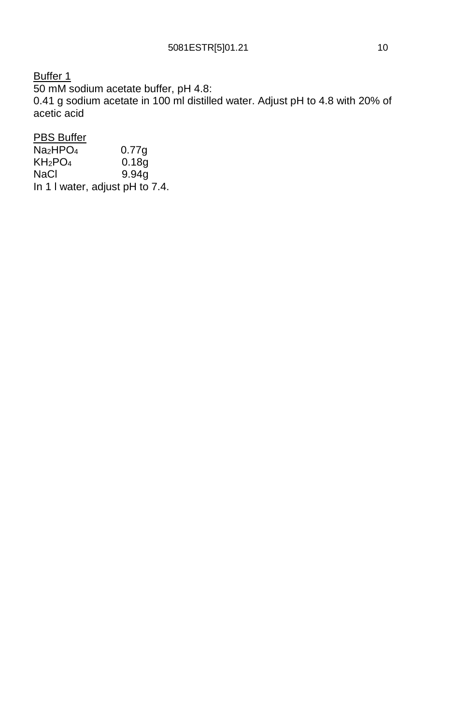Buffer 1 50 mM sodium acetate buffer, pH 4.8: 0.41 g sodium acetate in 100 ml distilled water. Adjust pH to 4.8 with 20% of acetic acid

**PBS Buffer** 

| Na2HPO4 | 0.77q                           |
|---------|---------------------------------|
| KH2PO4  | 0.18q                           |
| NaCl    | 9.94q                           |
|         | In 1 I water, adjust pH to 7.4. |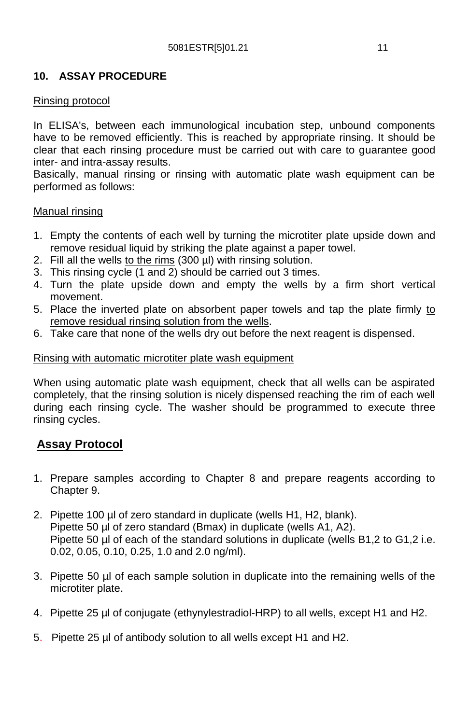## **10. ASSAY PROCEDURE**

### Rinsing protocol

In ELISA's, between each immunological incubation step, unbound components have to be removed efficiently. This is reached by appropriate rinsing. It should be clear that each rinsing procedure must be carried out with care to guarantee good inter- and intra-assay results.

Basically, manual rinsing or rinsing with automatic plate wash equipment can be performed as follows:

#### Manual rinsing

- 1. Empty the contents of each well by turning the microtiter plate upside down and remove residual liquid by striking the plate against a paper towel.
- 2. Fill all the wells to the rims  $(300 \mu l)$  with rinsing solution.
- 3. This rinsing cycle  $(1 \text{ and } 2)$  should be carried out 3 times.
- 4. Turn the plate upside down and empty the wells by a firm short vertical movement.
- 5. Place the inverted plate on absorbent paper towels and tap the plate firmly to remove residual rinsing solution from the wells.
- 6. Take care that none of the wells dry out before the next reagent is dispensed.

#### Rinsing with automatic microtiter plate wash equipment

When using automatic plate wash equipment, check that all wells can be aspirated completely, that the rinsing solution is nicely dispensed reaching the rim of each well during each rinsing cycle. The washer should be programmed to execute three rinsing cycles.

## **Assay Protocol**

- 1. Prepare samples according to Chapter 8 and prepare reagents according to Chapter 9.
- 2. Pipette 100 µl of zero standard in duplicate (wells H1, H2, blank). Pipette 50 µl of zero standard (Bmax) in duplicate (wells A1, A2). Pipette 50 µl of each of the standard solutions in duplicate (wells B1,2 to G1,2 i.e. 0.02, 0.05, 0.10, 0.25, 1.0 and 2.0 ng/ml).
- 3. Pipette 50 µl of each sample solution in duplicate into the remaining wells of the microtiter plate.
- 4. Pipette 25 µl of conjugate (ethynylestradiol-HRP) to all wells, except H1 and H2.
- 5. Pipette 25 µl of antibody solution to all wells except H1 and H2.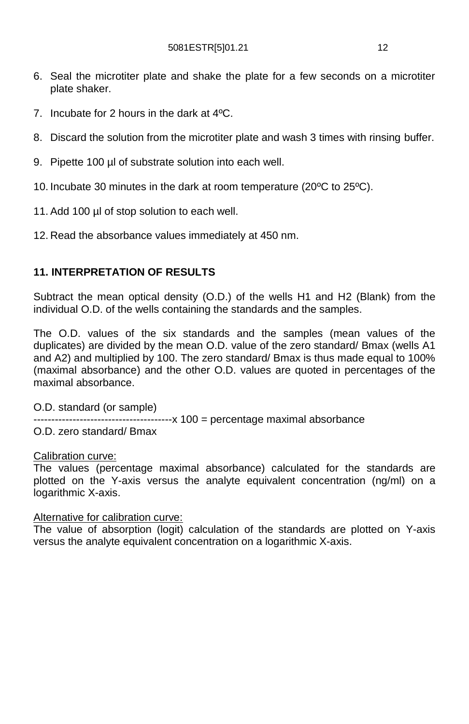- 6. Seal the microtiter plate and shake the plate for a few seconds on a microtiter plate shaker.
- 7. Incubate for 2 hours in the dark at 4ºC.
- 8. Discard the solution from the microtiter plate and wash 3 times with rinsing buffer.
- 9. Pipette 100 µl of substrate solution into each well.
- 10. Incubate 30 minutes in the dark at room temperature (20ºC to 25ºC).
- 11. Add 100 µl of stop solution to each well.
- 12. Read the absorbance values immediately at 450 nm.

### **11. INTERPRETATION OF RESULTS**

Subtract the mean optical density (O.D.) of the wells H1 and H2 (Blank) from the individual O.D. of the wells containing the standards and the samples.

The O.D. values of the six standards and the samples (mean values of the duplicates) are divided by the mean O.D. value of the zero standard/ Bmax (wells A1 and A2) and multiplied by 100. The zero standard/ Bmax is thus made equal to 100% (maximal absorbance) and the other O.D. values are quoted in percentages of the maximal absorbance.

O.D. standard (or sample)

-----x 100 = percentage maximal absorbance

O.D. zero standard/ Bmax

#### Calibration curve:

The values (percentage maximal absorbance) calculated for the standards are plotted on the Y-axis versus the analyte equivalent concentration (ng/ml) on a logarithmic X-axis.

#### Alternative for calibration curve:

The value of absorption (logit) calculation of the standards are plotted on Y-axis versus the analyte equivalent concentration on a logarithmic X-axis.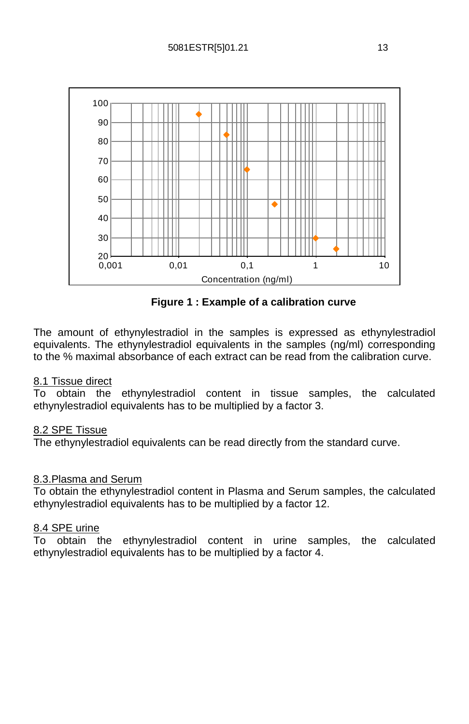

**Figure 1 : Example of a calibration curve**

The amount of ethynylestradiol in the samples is expressed as ethynylestradiol equivalents. The ethynylestradiol equivalents in the samples (ng/ml) corresponding to the % maximal absorbance of each extract can be read from the calibration curve.

### 8.1 Tissue direct

To obtain the ethynylestradiol content in tissue samples, the calculated ethynylestradiol equivalents has to be multiplied by a factor 3.

#### 8.2 SPE Tissue

The ethynylestradiol equivalents can be read directly from the standard curve.

#### 8.3.Plasma and Serum

To obtain the ethynylestradiol content in Plasma and Serum samples, the calculated ethynylestradiol equivalents has to be multiplied by a factor 12.

#### 8.4 SPE urine

To obtain the ethynylestradiol content in urine samples, the calculated ethynylestradiol equivalents has to be multiplied by a factor 4.